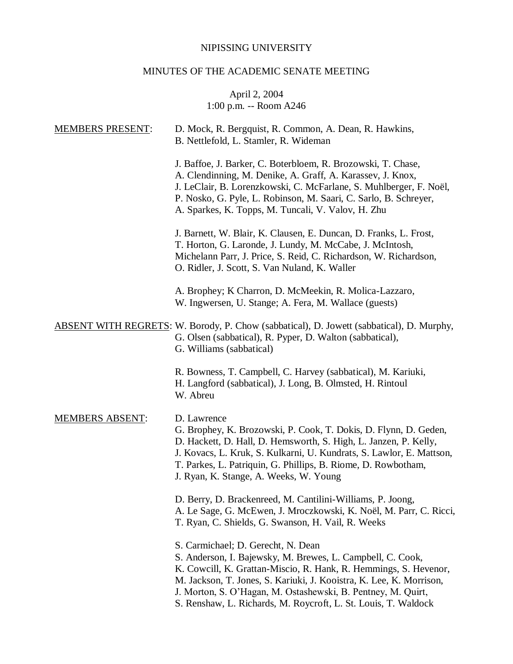# NIPISSING UNIVERSITY

# MINUTES OF THE ACADEMIC SENATE MEETING

## April 2, 2004 1:00 p.m. -- Room A246

| <b>MEMBERS PRESENT:</b> | D. Mock, R. Bergquist, R. Common, A. Dean, R. Hawkins,<br>B. Nettlefold, L. Stamler, R. Wideman                                                                                                                                                                                                                                                                               |
|-------------------------|-------------------------------------------------------------------------------------------------------------------------------------------------------------------------------------------------------------------------------------------------------------------------------------------------------------------------------------------------------------------------------|
|                         | J. Baffoe, J. Barker, C. Boterbloem, R. Brozowski, T. Chase,<br>A. Clendinning, M. Denike, A. Graff, A. Karassev, J. Knox,<br>J. LeClair, B. Lorenzkowski, C. McFarlane, S. Muhlberger, F. Noël,<br>P. Nosko, G. Pyle, L. Robinson, M. Saari, C. Sarlo, B. Schreyer,<br>A. Sparkes, K. Topps, M. Tuncali, V. Valov, H. Zhu                                                    |
|                         | J. Barnett, W. Blair, K. Clausen, E. Duncan, D. Franks, L. Frost,<br>T. Horton, G. Laronde, J. Lundy, M. McCabe, J. McIntosh,<br>Michelann Parr, J. Price, S. Reid, C. Richardson, W. Richardson,<br>O. Ridler, J. Scott, S. Van Nuland, K. Waller                                                                                                                            |
|                         | A. Brophey; K Charron, D. McMeekin, R. Molica-Lazzaro,<br>W. Ingwersen, U. Stange; A. Fera, M. Wallace (guests)                                                                                                                                                                                                                                                               |
|                         | <b>ABSENT WITH REGRETS:</b> W. Borody, P. Chow (sabbatical), D. Jowett (sabbatical), D. Murphy,<br>G. Olsen (sabbatical), R. Pyper, D. Walton (sabbatical),<br>G. Williams (sabbatical)                                                                                                                                                                                       |
|                         | R. Bowness, T. Campbell, C. Harvey (sabbatical), M. Kariuki,<br>H. Langford (sabbatical), J. Long, B. Olmsted, H. Rintoul<br>W. Abreu                                                                                                                                                                                                                                         |
| <b>MEMBERS ABSENT:</b>  | D. Lawrence<br>G. Brophey, K. Brozowski, P. Cook, T. Dokis, D. Flynn, D. Geden,<br>D. Hackett, D. Hall, D. Hemsworth, S. High, L. Janzen, P. Kelly,<br>J. Kovacs, L. Kruk, S. Kulkarni, U. Kundrats, S. Lawlor, E. Mattson,<br>T. Parkes, L. Patriquin, G. Phillips, B. Riome, D. Rowbotham,<br>J. Ryan, K. Stange, A. Weeks, W. Young                                        |
|                         | D. Berry, D. Brackenreed, M. Cantilini-Williams, P. Joong,<br>A. Le Sage, G. McEwen, J. Mroczkowski, K. Noël, M. Parr, C. Ricci,<br>T. Ryan, C. Shields, G. Swanson, H. Vail, R. Weeks                                                                                                                                                                                        |
|                         | S. Carmichael; D. Gerecht, N. Dean<br>S. Anderson, I. Bajewsky, M. Brewes, L. Campbell, C. Cook,<br>K. Cowcill, K. Grattan-Miscio, R. Hank, R. Hemmings, S. Hevenor,<br>M. Jackson, T. Jones, S. Kariuki, J. Kooistra, K. Lee, K. Morrison,<br>J. Morton, S. O'Hagan, M. Ostashewski, B. Pentney, M. Quirt,<br>S. Renshaw, L. Richards, M. Roycroft, L. St. Louis, T. Waldock |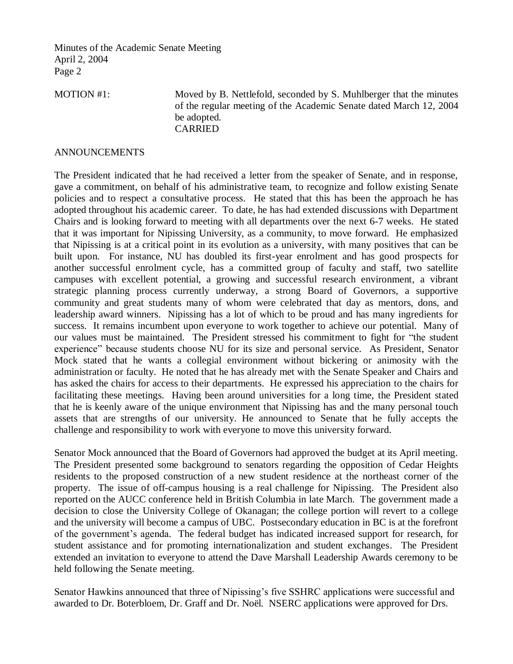Minutes of the Academic Senate Meeting April 2, 2004 Page 2

MOTION #1: Moved by B. Nettlefold, seconded by S. Muhlberger that the minutes of the regular meeting of the Academic Senate dated March 12, 2004 be adopted. CARRIED

#### ANNOUNCEMENTS

The President indicated that he had received a letter from the speaker of Senate, and in response, gave a commitment, on behalf of his administrative team, to recognize and follow existing Senate policies and to respect a consultative process. He stated that this has been the approach he has adopted throughout his academic career. To date, he has had extended discussions with Department Chairs and is looking forward to meeting with all departments over the next 6-7 weeks. He stated that it was important for Nipissing University, as a community, to move forward. He emphasized that Nipissing is at a critical point in its evolution as a university, with many positives that can be built upon. For instance, NU has doubled its first-year enrolment and has good prospects for another successful enrolment cycle, has a committed group of faculty and staff, two satellite campuses with excellent potential, a growing and successful research environment, a vibrant strategic planning process currently underway, a strong Board of Governors, a supportive community and great students many of whom were celebrated that day as mentors, dons, and leadership award winners. Nipissing has a lot of which to be proud and has many ingredients for success. It remains incumbent upon everyone to work together to achieve our potential. Many of our values must be maintained. The President stressed his commitment to fight for "the student experience" because students choose NU for its size and personal service. As President, Senator Mock stated that he wants a collegial environment without bickering or animosity with the administration or faculty. He noted that he has already met with the Senate Speaker and Chairs and has asked the chairs for access to their departments. He expressed his appreciation to the chairs for facilitating these meetings. Having been around universities for a long time, the President stated that he is keenly aware of the unique environment that Nipissing has and the many personal touch assets that are strengths of our university. He announced to Senate that he fully accepts the challenge and responsibility to work with everyone to move this university forward.

Senator Mock announced that the Board of Governors had approved the budget at its April meeting. The President presented some background to senators regarding the opposition of Cedar Heights residents to the proposed construction of a new student residence at the northeast corner of the property. The issue of off-campus housing is a real challenge for Nipissing. The President also reported on the AUCC conference held in British Columbia in late March. The government made a decision to close the University College of Okanagan; the college portion will revert to a college and the university will become a campus of UBC. Postsecondary education in BC is at the forefront of the government's agenda. The federal budget has indicated increased support for research, for student assistance and for promoting internationalization and student exchanges. The President extended an invitation to everyone to attend the Dave Marshall Leadership Awards ceremony to be held following the Senate meeting.

Senator Hawkins announced that three of Nipissing's five SSHRC applications were successful and awarded to Dr. Boterbloem, Dr. Graff and Dr. Noël. NSERC applications were approved for Drs.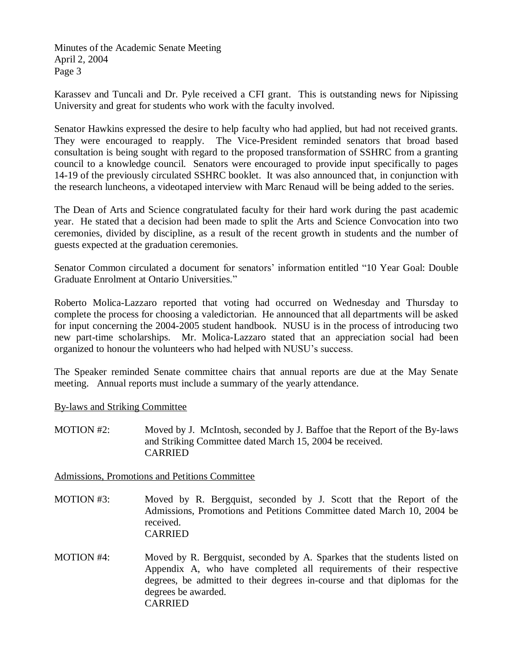Minutes of the Academic Senate Meeting April 2, 2004 Page 3

Karassev and Tuncali and Dr. Pyle received a CFI grant. This is outstanding news for Nipissing University and great for students who work with the faculty involved.

Senator Hawkins expressed the desire to help faculty who had applied, but had not received grants. They were encouraged to reapply. The Vice-President reminded senators that broad based consultation is being sought with regard to the proposed transformation of SSHRC from a granting council to a knowledge council. Senators were encouraged to provide input specifically to pages 14-19 of the previously circulated SSHRC booklet. It was also announced that, in conjunction with the research luncheons, a videotaped interview with Marc Renaud will be being added to the series.

The Dean of Arts and Science congratulated faculty for their hard work during the past academic year. He stated that a decision had been made to split the Arts and Science Convocation into two ceremonies, divided by discipline, as a result of the recent growth in students and the number of guests expected at the graduation ceremonies.

Senator Common circulated a document for senators' information entitled "10 Year Goal: Double Graduate Enrolment at Ontario Universities."

Roberto Molica-Lazzaro reported that voting had occurred on Wednesday and Thursday to complete the process for choosing a valedictorian. He announced that all departments will be asked for input concerning the 2004-2005 student handbook. NUSU is in the process of introducing two new part-time scholarships. Mr. Molica-Lazzaro stated that an appreciation social had been organized to honour the volunteers who had helped with NUSU's success.

The Speaker reminded Senate committee chairs that annual reports are due at the May Senate meeting. Annual reports must include a summary of the yearly attendance.

By-laws and Striking Committee

MOTION #2: Moved by J. McIntosh, seconded by J. Baffoe that the Report of the By-laws and Striking Committee dated March 15, 2004 be received. CARRIED

Admissions, Promotions and Petitions Committee

- MOTION #3: Moved by R. Bergquist, seconded by J. Scott that the Report of the Admissions, Promotions and Petitions Committee dated March 10, 2004 be received. CARRIED
- MOTION #4: Moved by R. Bergquist, seconded by A. Sparkes that the students listed on Appendix A, who have completed all requirements of their respective degrees, be admitted to their degrees in-course and that diplomas for the degrees be awarded. CARRIED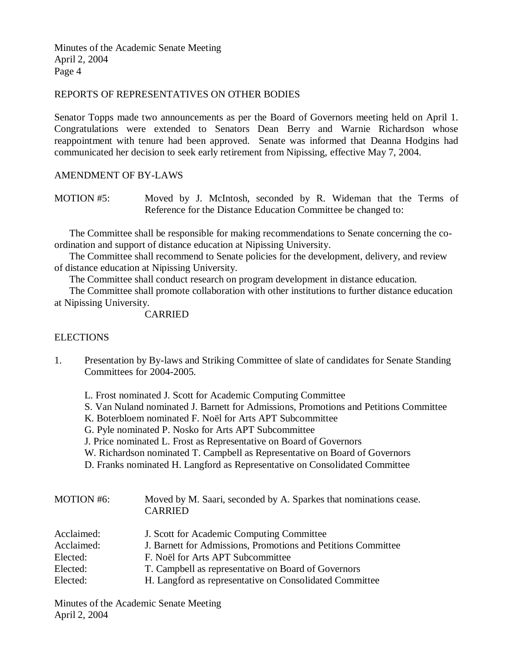Minutes of the Academic Senate Meeting April 2, 2004 Page 4

#### REPORTS OF REPRESENTATIVES ON OTHER BODIES

Senator Topps made two announcements as per the Board of Governors meeting held on April 1. Congratulations were extended to Senators Dean Berry and Warnie Richardson whose reappointment with tenure had been approved. Senate was informed that Deanna Hodgins had communicated her decision to seek early retirement from Nipissing, effective May 7, 2004.

## AMENDMENT OF BY-LAWS

MOTION #5: Moved by J. McIntosh, seconded by R. Wideman that the Terms of Reference for the Distance Education Committee be changed to:

The Committee shall be responsible for making recommendations to Senate concerning the coordination and support of distance education at Nipissing University.

The Committee shall recommend to Senate policies for the development, delivery, and review of distance education at Nipissing University.

The Committee shall conduct research on program development in distance education.

The Committee shall promote collaboration with other institutions to further distance education at Nipissing University.

CARRIED

#### **ELECTIONS**

- 1. Presentation by By-laws and Striking Committee of slate of candidates for Senate Standing Committees for 2004-2005.
	- L. Frost nominated J. Scott for Academic Computing Committee
	- S. Van Nuland nominated J. Barnett for Admissions, Promotions and Petitions Committee
	- K. Boterbloem nominated F. Noël for Arts APT Subcommittee
	- G. Pyle nominated P. Nosko for Arts APT Subcommittee
	- J. Price nominated L. Frost as Representative on Board of Governors
	- W. Richardson nominated T. Campbell as Representative on Board of Governors
	- D. Franks nominated H. Langford as Representative on Consolidated Committee

| <b>MOTION #6:</b> | Moved by M. Saari, seconded by A. Sparkes that nominations cease.<br><b>CARRIED</b> |
|-------------------|-------------------------------------------------------------------------------------|
| Acclaimed:        | J. Scott for Academic Computing Committee                                           |
| Acclaimed:        | J. Barnett for Admissions, Promotions and Petitions Committee                       |
| Elected:          | F. Noël for Arts APT Subcommittee                                                   |
| Elected:          | T. Campbell as representative on Board of Governors                                 |
| Elected:          | H. Langford as representative on Consolidated Committee                             |

Minutes of the Academic Senate Meeting April 2, 2004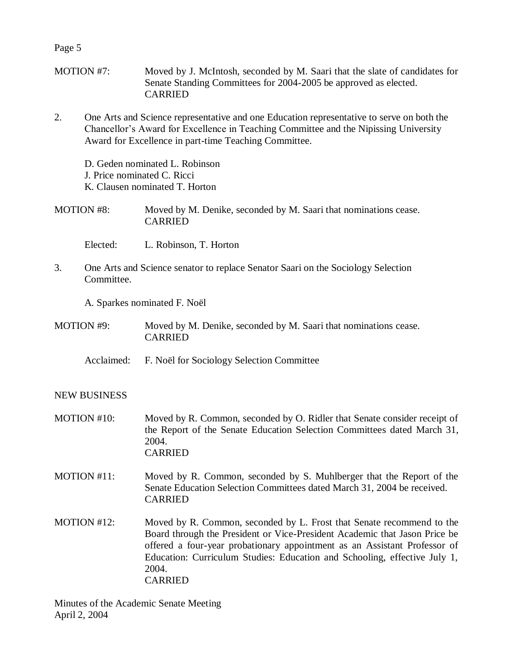Page 5

- MOTION #7: Moved by J. McIntosh, seconded by M. Saari that the slate of candidates for Senate Standing Committees for 2004-2005 be approved as elected. CARRIED
- 2. One Arts and Science representative and one Education representative to serve on both the Chancellor's Award for Excellence in Teaching Committee and the Nipissing University Award for Excellence in part-time Teaching Committee.

D. Geden nominated L. Robinson J. Price nominated C. Ricci K. Clausen nominated T. Horton

MOTION #8: Moved by M. Denike, seconded by M. Saari that nominations cease. CARRIED

Elected: L. Robinson, T. Horton

3. One Arts and Science senator to replace Senator Saari on the Sociology Selection Committee.

A. Sparkes nominated F. Noël

MOTION #9: Moved by M. Denike, seconded by M. Saari that nominations cease. CARRIED

Acclaimed: F. Noël for Sociology Selection Committee

## NEW BUSINESS

- MOTION #10: Moved by R. Common, seconded by O. Ridler that Senate consider receipt of the Report of the Senate Education Selection Committees dated March 31, 2004 CARRIED
- MOTION #11: Moved by R. Common, seconded by S. Muhlberger that the Report of the Senate Education Selection Committees dated March 31, 2004 be received. CARRIED
- MOTION #12: Moved by R. Common, seconded by L. Frost that Senate recommend to the Board through the President or Vice-President Academic that Jason Price be offered a four-year probationary appointment as an Assistant Professor of Education: Curriculum Studies: Education and Schooling, effective July 1, 2004. CARRIED

Minutes of the Academic Senate Meeting April 2, 2004